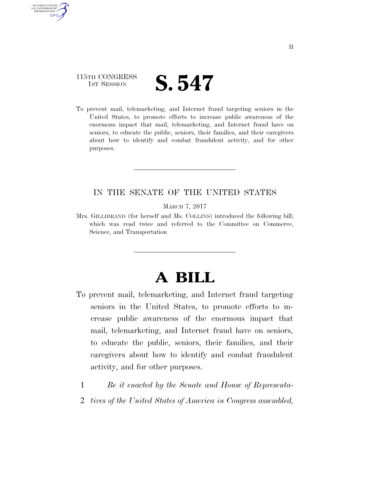### 115TH CONGRESS **IST SESSION S. 547**

AUTHENTICATED U.S. GOVERNMENT GPO

> To prevent mail, telemarketing, and Internet fraud targeting seniors in the United States, to promote efforts to increase public awareness of the enormous impact that mail, telemarketing, and Internet fraud have on seniors, to educate the public, seniors, their families, and their caregivers about how to identify and combat fraudulent activity, and for other purposes.

#### IN THE SENATE OF THE UNITED STATES

MARCH 7, 2017

Mrs. GILLIBRAND (for herself and Ms. COLLINS) introduced the following bill; which was read twice and referred to the Committee on Commerce, Science, and Transportation

# **A BILL**

- To prevent mail, telemarketing, and Internet fraud targeting seniors in the United States, to promote efforts to increase public awareness of the enormous impact that mail, telemarketing, and Internet fraud have on seniors, to educate the public, seniors, their families, and their caregivers about how to identify and combat fraudulent activity, and for other purposes.
	- 1 *Be it enacted by the Senate and House of Representa-*
	- 2 *tives of the United States of America in Congress assembled,*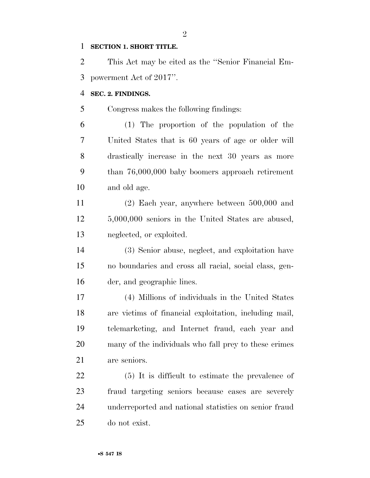#### **SECTION 1. SHORT TITLE.**

 This Act may be cited as the ''Senior Financial Em-powerment Act of 2017''.

#### **SEC. 2. FINDINGS.**

Congress makes the following findings:

 (1) The proportion of the population of the United States that is 60 years of age or older will drastically increase in the next 30 years as more than 76,000,000 baby boomers approach retirement and old age.

 (2) Each year, anywhere between 500,000 and 5,000,000 seniors in the United States are abused, neglected, or exploited.

 (3) Senior abuse, neglect, and exploitation have no boundaries and cross all racial, social class, gen-der, and geographic lines.

 (4) Millions of individuals in the United States are victims of financial exploitation, including mail, telemarketing, and Internet fraud, each year and many of the individuals who fall prey to these crimes are seniors.

 (5) It is difficult to estimate the prevalence of fraud targeting seniors because cases are severely underreported and national statistics on senior fraud do not exist.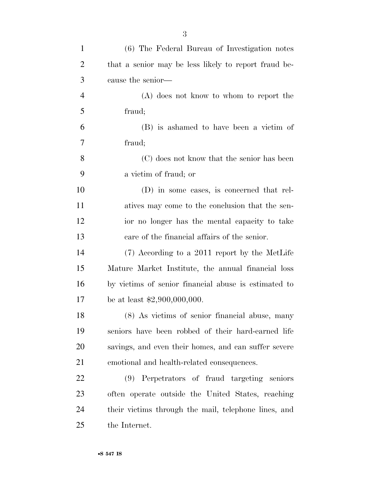| $\mathbf{1}$   | (6) The Federal Bureau of Investigation notes        |
|----------------|------------------------------------------------------|
| $\overline{2}$ | that a senior may be less likely to report fraud be- |
| 3              | cause the senior—                                    |
| $\overline{4}$ | (A) does not know to whom to report the              |
| 5              | fraud;                                               |
| 6              | (B) is ashamed to have been a victim of              |
| 7              | fraud;                                               |
| 8              | (C) does not know that the senior has been           |
| 9              | a victim of fraud; or                                |
| 10             | (D) in some cases, is concerned that rel-            |
| 11             | atives may come to the conclusion that the sen-      |
| 12             | ior no longer has the mental capacity to take        |
| 13             | care of the financial affairs of the senior.         |
| 14             | (7) According to a 2011 report by the MetLife        |
| 15             | Mature Market Institute, the annual financial loss   |
| 16             | by victims of senior financial abuse is estimated to |
| 17             | be at least $$2,900,000,000$ .                       |
| 18             | (8) As victims of senior financial abuse, many       |
| 19             | seniors have been robbed of their hard-earned life   |
| 20             | savings, and even their homes, and can suffer severe |
| 21             | emotional and health-related consequences.           |
| 22             | (9) Perpetrators of fraud targeting seniors          |
| 23             | often operate outside the United States, reaching    |
| 24             | their victims through the mail, telephone lines, and |
| 25             | the Internet.                                        |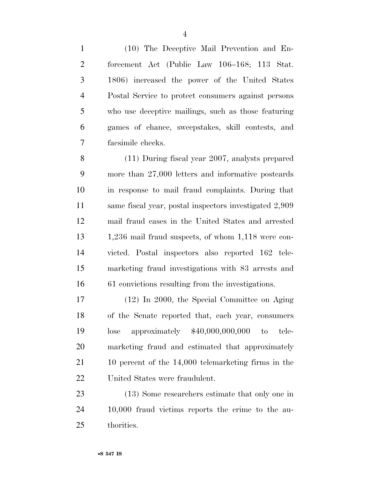(10) The Deceptive Mail Prevention and En- forcement Act (Public Law 106–168; 113 Stat. 1806) increased the power of the United States Postal Service to protect consumers against persons who use deceptive mailings, such as those featuring games of chance, sweepstakes, skill contests, and facsimile checks.

 (11) During fiscal year 2007, analysts prepared more than 27,000 letters and informative postcards in response to mail fraud complaints. During that same fiscal year, postal inspectors investigated 2,909 mail fraud cases in the United States and arrested 1,236 mail fraud suspects, of whom 1,118 were con- victed. Postal inspectors also reported 162 tele- marketing fraud investigations with 83 arrests and 61 convictions resulting from the investigations.

 (12) In 2000, the Special Committee on Aging of the Senate reported that, each year, consumers lose approximately \$40,000,000,000 to tele- marketing fraud and estimated that approximately 10 percent of the 14,000 telemarketing firms in the United States were fraudulent.

 (13) Some researchers estimate that only one in 10,000 fraud victims reports the crime to the au-thorities.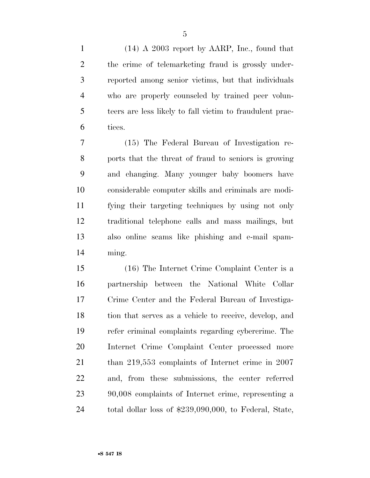(14) A 2003 report by AARP, Inc., found that the crime of telemarketing fraud is grossly under- reported among senior victims, but that individuals who are properly counseled by trained peer volun- teers are less likely to fall victim to fraudulent prac-tices.

 (15) The Federal Bureau of Investigation re- ports that the threat of fraud to seniors is growing and changing. Many younger baby boomers have considerable computer skills and criminals are modi- fying their targeting techniques by using not only traditional telephone calls and mass mailings, but also online scams like phishing and e-mail spam-ming.

 (16) The Internet Crime Complaint Center is a partnership between the National White Collar Crime Center and the Federal Bureau of Investiga- tion that serves as a vehicle to receive, develop, and refer criminal complaints regarding cybercrime. The Internet Crime Complaint Center processed more than 219,553 complaints of Internet crime in 2007 and, from these submissions, the center referred 90,008 complaints of Internet crime, representing a total dollar loss of \$239,090,000, to Federal, State,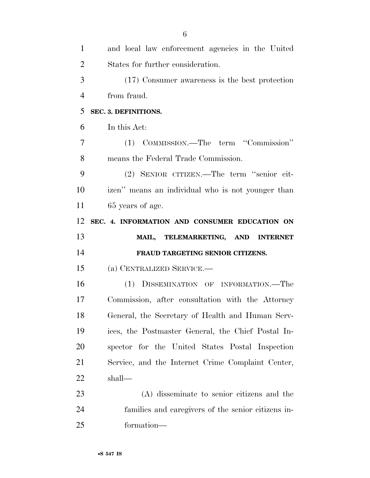| $\mathbf{1}$   | and local law enforcement agencies in the United   |
|----------------|----------------------------------------------------|
| $\overline{2}$ | States for further consideration.                  |
| 3              | (17) Consumer awareness is the best protection     |
| $\overline{4}$ | from fraud.                                        |
| 5              | SEC. 3. DEFINITIONS.                               |
| 6              | In this Act:                                       |
| 7              | (1) COMMISSION.—The term "Commission"              |
| 8              | means the Federal Trade Commission.                |
| 9              | (2) SENIOR CITIZEN.—The term "senior cit-          |
| 10             | izen" means an individual who is not younger than  |
| 11             | 65 years of age.                                   |
| 12             | SEC. 4. INFORMATION AND CONSUMER EDUCATION ON      |
|                |                                                    |
| 13             | MAIL, TELEMARKETING, AND INTERNET                  |
| 14             | FRAUD TARGETING SENIOR CITIZENS.                   |
| 15             | (a) CENTRALIZED SERVICE.—                          |
| 16             | (1) DISSEMINATION OF INFORMATION.—The              |
| 17             | Commission, after consultation with the Attorney   |
| 18             | General, the Secretary of Health and Human Serv-   |
| 19             | ices, the Postmaster General, the Chief Postal In- |
| 20             | spector for the United States Postal Inspection    |
| 21             | Service, and the Internet Crime Complaint Center,  |
| 22             | shall—                                             |
| 23             | (A) disseminate to senior citizens and the         |
| 24             | families and caregivers of the senior citizens in- |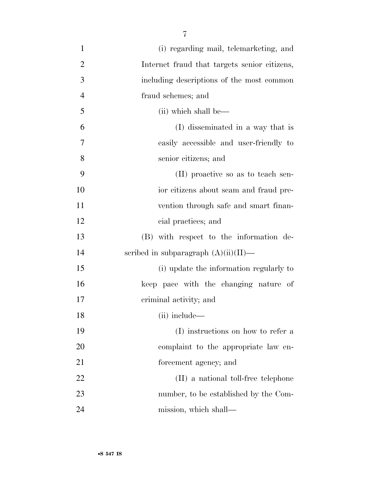| $\mathbf{1}$   | (i) regarding mail, telemarketing, and       |
|----------------|----------------------------------------------|
| $\overline{2}$ | Internet fraud that targets senior citizens, |
| 3              | including descriptions of the most common    |
| $\overline{4}$ | fraud schemes; and                           |
| 5              | (ii) which shall be—                         |
| 6              | (I) disseminated in a way that is            |
| 7              | easily accessible and user-friendly to       |
| 8              | senior citizens; and                         |
| 9              | (II) proactive so as to teach sen-           |
| 10             | ior citizens about scam and fraud pre-       |
| 11             | vention through safe and smart finan-        |
| 12             | cial practices; and                          |
| 13             | (B) with respect to the information de-      |
| 14             | scribed in subparagraph $(A)(ii)(II)$ —      |
| 15             | (i) update the information regularly to      |
| 16             | keep pace with the changing nature of        |
| 17             | criminal activity; and                       |
| 18             | (ii) include-                                |
| 19             | (I) instructions on how to refer a           |
| 20             | complaint to the appropriate law en-         |
| 21             | forcement agency; and                        |
| 22             | (II) a national toll-free telephone          |
| 23             | number, to be established by the Com-        |
| 24             | mission, which shall—                        |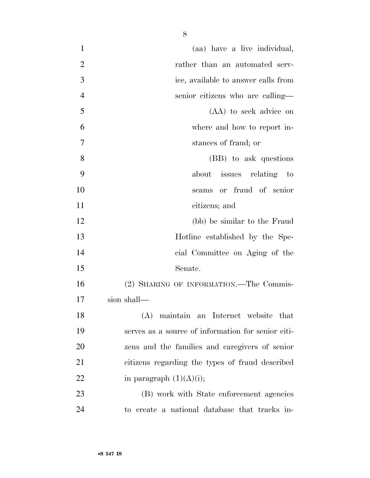| $\mathbf{1}$   | (aa) have a live individual,                       |
|----------------|----------------------------------------------------|
| $\overline{2}$ | rather than an automated serv-                     |
| 3              | ice, available to answer calls from                |
| $\overline{4}$ | senior citizens who are calling—                   |
| 5              | (AA) to seek advice on                             |
| 6              | where and how to report in-                        |
| 7              | stances of fraud; or                               |
| 8              | (BB) to ask questions                              |
| 9              | about issues relating to                           |
| 10             | scams or fraud of senior                           |
| 11             | citizens; and                                      |
| 12             | (bb) be similar to the Fraud                       |
| 13             | Hotline established by the Spe-                    |
| 14             | cial Committee on Aging of the                     |
| 15             | Senate.                                            |
| 16             | (2) SHARING OF INFORMATION.—The Commis-            |
| 17             | sion shall—                                        |
| 18             | (A) maintain an Internet website that              |
| 19             | serves as a source of information for senior citi- |
| 20             | zens and the families and caregivers of senior     |
| 21             | citizens regarding the types of fraud described    |
| 22             | in paragraph $(1)(A)(i);$                          |
| 23             | (B) work with State enforcement agencies           |
| 24             | to create a national database that tracks in-      |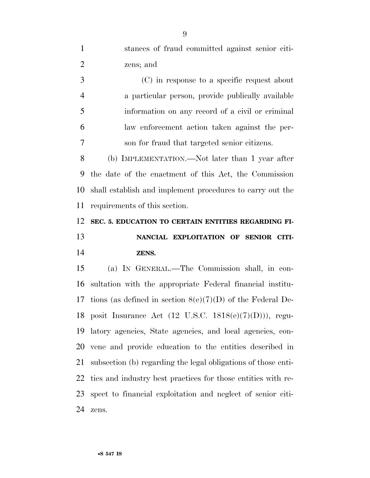stances of fraud committed against senior citi-zens; and

 (C) in response to a specific request about a particular person, provide publically available information on any record of a civil or criminal law enforcement action taken against the per-son for fraud that targeted senior citizens.

 (b) IMPLEMENTATION.—Not later than 1 year after the date of the enactment of this Act, the Commission shall establish and implement procedures to carry out the requirements of this section.

## **SEC. 5. EDUCATION TO CERTAIN ENTITIES REGARDING FI-**

### **NANCIAL EXPLOITATION OF SENIOR CITI-ZENS.**

 (a) IN GENERAL.—The Commission shall, in con- sultation with the appropriate Federal financial institu- tions (as defined in section 8(e)(7)(D) of the Federal De- posit Insurance Act (12 U.S.C. 1818(e)(7)(D))), regu- latory agencies, State agencies, and local agencies, con- vene and provide education to the entities described in subsection (b) regarding the legal obligations of those enti- ties and industry best practices for those entities with re- spect to financial exploitation and neglect of senior citi-zens.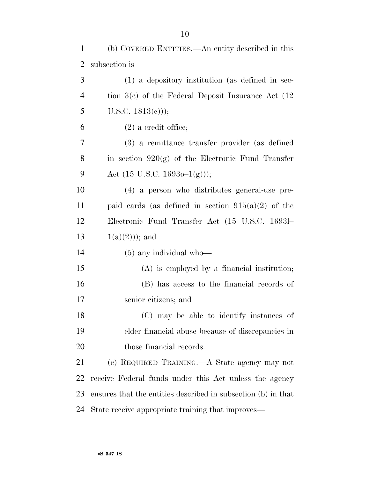| $\mathbf{1}$   | (b) COVERED ENTITIES.—An entity described in this             |
|----------------|---------------------------------------------------------------|
| $\overline{2}$ | subsection is—                                                |
| 3              | $(1)$ a depository institution (as defined in sec-            |
| $\overline{4}$ | tion $3(c)$ of the Federal Deposit Insurance Act $(12)$       |
| 5              | U.S.C. $1813(c)$ ;                                            |
| 6              | $(2)$ a credit office;                                        |
| 7              | (3) a remittance transfer provider (as defined                |
| 8              | in section $920(g)$ of the Electronic Fund Transfer           |
| 9              | Act $(15 \text{ U.S.C. } 1693\text{o}-1(g))$ ;                |
| 10             | (4) a person who distributes general-use pre-                 |
| 11             | paid cards (as defined in section $915(a)(2)$ of the          |
| 12             | Electronic Fund Transfer Act (15 U.S.C. 16931–                |
| 13             | $1(a)(2))$ ; and                                              |
| 14             | $(5)$ any individual who—                                     |
| 15             | $(A)$ is employed by a financial institution;                 |
| 16             | (B) has access to the financial records of                    |
| 17             | senior citizens; and                                          |
| 18             | (C) may be able to identify instances of                      |
| 19             | elder financial abuse because of discrepancies in             |
| 20             | those financial records.                                      |
| 21             | (c) REQUIRED TRAINING.—A State agency may not                 |
| 22             | receive Federal funds under this Act unless the agency        |
| 23             | ensures that the entities described in subsection (b) in that |
| 24             | State receive appropriate training that improves—             |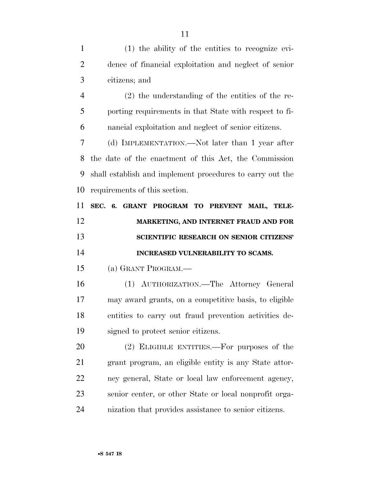(1) the ability of the entities to recognize evi- dence of financial exploitation and neglect of senior citizens; and (2) the understanding of the entities of the re- porting requirements in that State with respect to fi- nancial exploitation and neglect of senior citizens. (d) IMPLEMENTATION.—Not later than 1 year after the date of the enactment of this Act, the Commission shall establish and implement procedures to carry out the requirements of this section. **SEC. 6. GRANT PROGRAM TO PREVENT MAIL, TELE- MARKETING, AND INTERNET FRAUD AND FOR SCIENTIFIC RESEARCH ON SENIOR CITIZENS' INCREASED VULNERABILITY TO SCAMS.**  (a) GRANT PROGRAM.— (1) AUTHORIZATION.—The Attorney General may award grants, on a competitive basis, to eligible entities to carry out fraud prevention activities de- signed to protect senior citizens. (2) ELIGIBLE ENTITIES.—For purposes of the grant program, an eligible entity is any State attor- ney general, State or local law enforcement agency, senior center, or other State or local nonprofit orga-nization that provides assistance to senior citizens.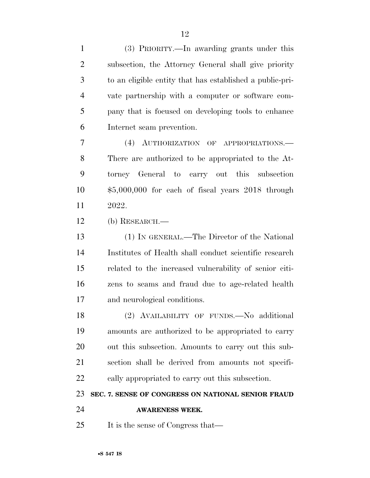(3) PRIORITY.—In awarding grants under this subsection, the Attorney General shall give priority to an eligible entity that has established a public-pri- vate partnership with a computer or software com- pany that is focused on developing tools to enhance Internet scam prevention.

 (4) AUTHORIZATION OF APPROPRIATIONS.— There are authorized to be appropriated to the At- torney General to carry out this subsection \$5,000,000 for each of fiscal years 2018 through 2022.

(b) RESEARCH.—

 (1) IN GENERAL.—The Director of the National Institutes of Health shall conduct scientific research related to the increased vulnerability of senior citi- zens to scams and fraud due to age-related health and neurological conditions.

18 (2) AVAILABILITY OF FUNDS. No additional amounts are authorized to be appropriated to carry out this subsection. Amounts to carry out this sub- section shall be derived from amounts not specifi-cally appropriated to carry out this subsection.

**SEC. 7. SENSE OF CONGRESS ON NATIONAL SENIOR FRAUD** 

- **AWARENESS WEEK.**
- 25 It is the sense of Congress that—